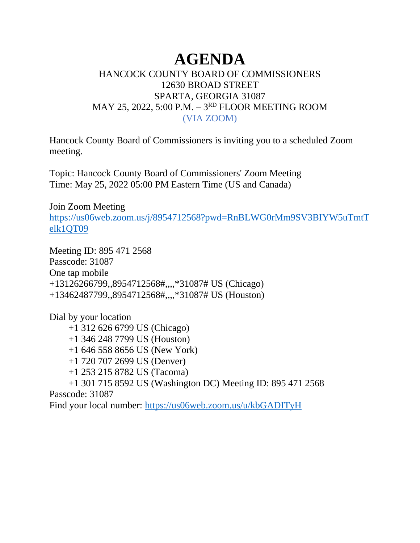## **AGENDA**

## HANCOCK COUNTY BOARD OF COMMISSIONERS 12630 BROAD STREET SPARTA, GEORGIA 31087 MAY 25, 2022, 5:00 P.M. – 3<sup>rd</sup> FLOOR MEETING ROOM (VIA ZOOM)

Hancock County Board of Commissioners is inviting you to a scheduled Zoom meeting.

Topic: Hancock County Board of Commissioners' Zoom Meeting Time: May 25, 2022 05:00 PM Eastern Time (US and Canada)

Join Zoom Meeting

[https://us06web.zoom.us/j/8954712568?pwd=RnBLWG0rMm9SV3BIYW5uTmtT](https://us06web.zoom.us/j/8954712568?pwd=RnBLWG0rMm9SV3BIYW5uTmtTelk1QT09) [elk1QT09](https://us06web.zoom.us/j/8954712568?pwd=RnBLWG0rMm9SV3BIYW5uTmtTelk1QT09)

Meeting ID: 895 471 2568 Passcode: 31087 One tap mobile +13126266799,,8954712568#,,,,\*31087# US (Chicago) +13462487799,,8954712568#,,,,\*31087# US (Houston)

Dial by your location

- +1 312 626 6799 US (Chicago)
- +1 346 248 7799 US (Houston)
- +1 646 558 8656 US (New York)
- +1 720 707 2699 US (Denver)
- +1 253 215 8782 US (Tacoma)
- +1 301 715 8592 US (Washington DC) Meeting ID: 895 471 2568

Passcode: 31087

Find your local number:<https://us06web.zoom.us/u/kbGADITyH>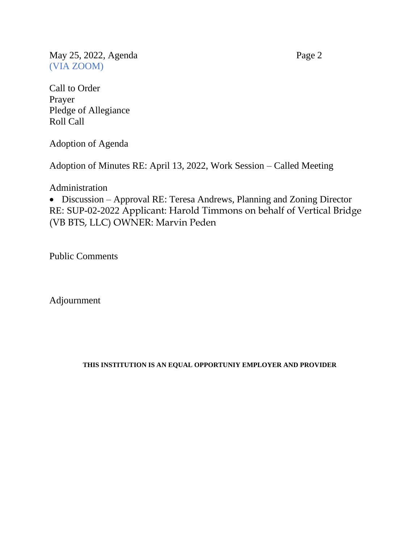May 25, 2022, Agenda Page 2 (VIA ZOOM)

Call to Order Prayer Pledge of Allegiance Roll Call

Adoption of Agenda

Adoption of Minutes RE: April 13, 2022, Work Session – Called Meeting

Administration

• Discussion – Approval RE: Teresa Andrews, Planning and Zoning Director RE: SUP-02-2022 Applicant: Harold Timmons on behalf of Vertical Bridge (VB BTS, LLC) OWNER: Marvin Peden

Public Comments

Adjournment

## **THIS INSTITUTION IS AN EQUAL OPPORTUNIY EMPLOYER AND PROVIDER**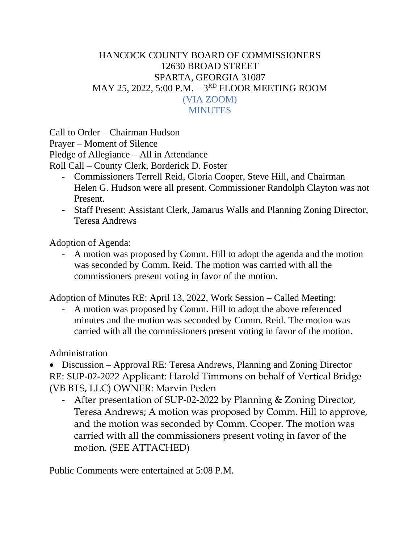## HANCOCK COUNTY BOARD OF COMMISSIONERS 12630 BROAD STREET SPARTA, GEORGIA 31087 MAY 25, 2022, 5:00 P.M. – 3<sup>rd</sup> FLOOR MEETING ROOM (VIA ZOOM) **MINUTES**

Call to Order – Chairman Hudson Prayer – Moment of Silence Pledge of Allegiance – All in Attendance Roll Call – County Clerk, Borderick D. Foster

- Commissioners Terrell Reid, Gloria Cooper, Steve Hill, and Chairman Helen G. Hudson were all present. Commissioner Randolph Clayton was not Present.
- Staff Present: Assistant Clerk, Jamarus Walls and Planning Zoning Director, Teresa Andrews

Adoption of Agenda:

- A motion was proposed by Comm. Hill to adopt the agenda and the motion was seconded by Comm. Reid. The motion was carried with all the commissioners present voting in favor of the motion.

Adoption of Minutes RE: April 13, 2022, Work Session – Called Meeting:

- A motion was proposed by Comm. Hill to adopt the above referenced minutes and the motion was seconded by Comm. Reid. The motion was carried with all the commissioners present voting in favor of the motion.

Administration

• Discussion – Approval RE: Teresa Andrews, Planning and Zoning Director RE: SUP-02-2022 Applicant: Harold Timmons on behalf of Vertical Bridge (VB BTS, LLC) OWNER: Marvin Peden

- After presentation of SUP-02-2022 by Planning & Zoning Director, Teresa Andrews; A motion was proposed by Comm. Hill to approve, and the motion was seconded by Comm. Cooper. The motion was carried with all the commissioners present voting in favor of the motion. (SEE ATTACHED)

Public Comments were entertained at 5:08 P.M.